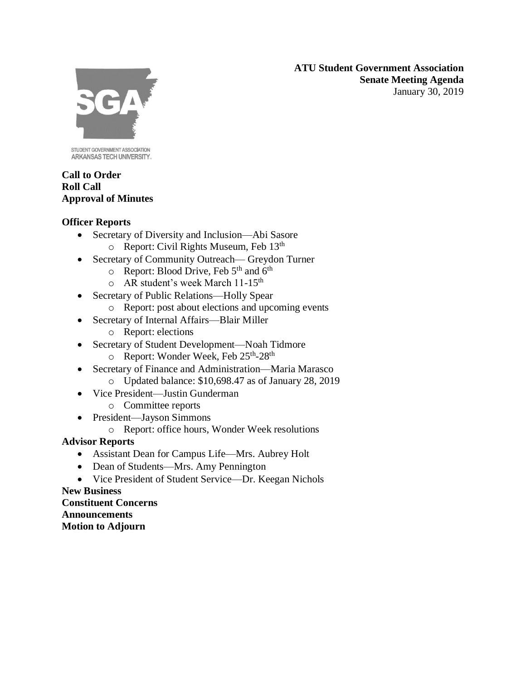**ATU Student Government Association Senate Meeting Agenda** January 30, 2019



STUDENT GOVERNMENT ASSOCIATION ARKANSAS TECH UNIVERSITY.

### **Call to Order Roll Call Approval of Minutes**

# **Officer Reports**

- Secretary of Diversity and Inclusion—Abi Sasore
	- o Report: Civil Rights Museum, Feb 13th
- Secretary of Community Outreach— Greydon Turner
	- $\circ$  Report: Blood Drive, Feb 5<sup>th</sup> and 6<sup>th</sup>
	- o AR student's week March 11-15th
- Secretary of Public Relations—Holly Spear
	- o Report: post about elections and upcoming events
- Secretary of Internal Affairs—Blair Miller
	- o Report: elections
- Secretary of Student Development—Noah Tidmore
	- o Report: Wonder Week, Feb 25<sup>th</sup>-28<sup>th</sup>
- Secretary of Finance and Administration—Maria Marasco o Updated balance: \$10,698.47 as of January 28, 2019
- Vice President—Justin Gunderman
	- o Committee reports
- President—Jayson Simmons
	- o Report: office hours, Wonder Week resolutions

# **Advisor Reports**

- Assistant Dean for Campus Life—Mrs. Aubrey Holt
- Dean of Students—Mrs. Amy Pennington
- Vice President of Student Service—Dr. Keegan Nichols

#### **New Business Constituent Concerns**

**Announcements**

**Motion to Adjourn**